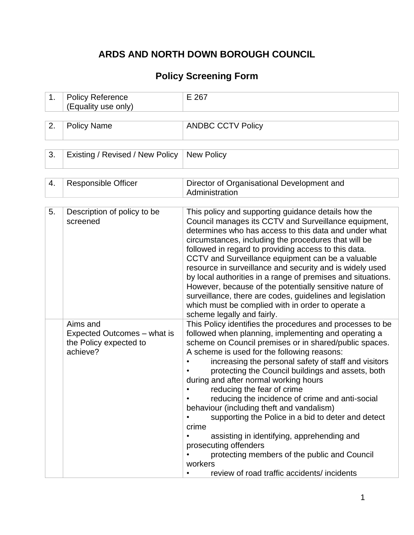# **ARDS AND NORTH DOWN BOROUGH COUNCIL**

## **Policy Screening Form**

| 1. | <b>Policy Reference</b><br>(Equality use only)                                | E 267                                                                                                                                                                                                                                                                                                                                                                                                                                                                                                                                                                                                                                                                                                                                                         |
|----|-------------------------------------------------------------------------------|---------------------------------------------------------------------------------------------------------------------------------------------------------------------------------------------------------------------------------------------------------------------------------------------------------------------------------------------------------------------------------------------------------------------------------------------------------------------------------------------------------------------------------------------------------------------------------------------------------------------------------------------------------------------------------------------------------------------------------------------------------------|
|    |                                                                               |                                                                                                                                                                                                                                                                                                                                                                                                                                                                                                                                                                                                                                                                                                                                                               |
| 2. | <b>Policy Name</b>                                                            | <b>ANDBC CCTV Policy</b>                                                                                                                                                                                                                                                                                                                                                                                                                                                                                                                                                                                                                                                                                                                                      |
|    |                                                                               |                                                                                                                                                                                                                                                                                                                                                                                                                                                                                                                                                                                                                                                                                                                                                               |
| 3. | Existing / Revised / New Policy                                               | <b>New Policy</b>                                                                                                                                                                                                                                                                                                                                                                                                                                                                                                                                                                                                                                                                                                                                             |
|    |                                                                               |                                                                                                                                                                                                                                                                                                                                                                                                                                                                                                                                                                                                                                                                                                                                                               |
| 4. | <b>Responsible Officer</b>                                                    | Director of Organisational Development and<br>Administration                                                                                                                                                                                                                                                                                                                                                                                                                                                                                                                                                                                                                                                                                                  |
|    |                                                                               |                                                                                                                                                                                                                                                                                                                                                                                                                                                                                                                                                                                                                                                                                                                                                               |
| 5. | Description of policy to be<br>screened                                       | This policy and supporting guidance details how the<br>Council manages its CCTV and Surveillance equipment,<br>determines who has access to this data and under what<br>circumstances, including the procedures that will be<br>followed in regard to providing access to this data.<br>CCTV and Surveillance equipment can be a valuable<br>resource in surveillance and security and is widely used<br>by local authorities in a range of premises and situations.<br>However, because of the potentially sensitive nature of<br>surveillance, there are codes, guidelines and legislation<br>which must be complied with in order to operate a<br>scheme legally and fairly.                                                                               |
|    | Aims and<br>Expected Outcomes – what is<br>the Policy expected to<br>achieve? | This Policy identifies the procedures and processes to be<br>followed when planning, implementing and operating a<br>scheme on Council premises or in shared/public spaces.<br>A scheme is used for the following reasons:<br>increasing the personal safety of staff and visitors<br>protecting the Council buildings and assets, both<br>during and after normal working hours<br>reducing the fear of crime<br>reducing the incidence of crime and anti-social<br>behaviour (including theft and vandalism)<br>supporting the Police in a bid to deter and detect<br>crime<br>assisting in identifying, apprehending and<br>prosecuting offenders<br>protecting members of the public and Council<br>workers<br>review of road traffic accidents/incidents |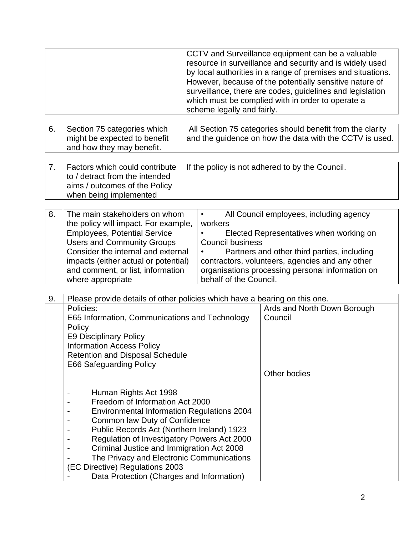|    |                                                                                                                                                                                                                                                                                                                                                                                                                       | scheme legally and fairly.                                                | CCTV and Surveillance equipment can be a valuable<br>resource in surveillance and security and is widely used<br>by local authorities in a range of premises and situations.<br>However, because of the potentially sensitive nature of<br>surveillance, there are codes, guidelines and legislation<br>which must be complied with in order to operate a |
|----|-----------------------------------------------------------------------------------------------------------------------------------------------------------------------------------------------------------------------------------------------------------------------------------------------------------------------------------------------------------------------------------------------------------------------|---------------------------------------------------------------------------|-----------------------------------------------------------------------------------------------------------------------------------------------------------------------------------------------------------------------------------------------------------------------------------------------------------------------------------------------------------|
| 6. | Section 75 categories which<br>might be expected to benefit<br>and how they may benefit.                                                                                                                                                                                                                                                                                                                              |                                                                           | All Section 75 categories should benefit from the clarity<br>and the guidence on how the data with the CCTV is used.                                                                                                                                                                                                                                      |
| 7. | Factors which could contribute<br>to / detract from the intended<br>aims / outcomes of the Policy<br>when being implemented                                                                                                                                                                                                                                                                                           |                                                                           | If the policy is not adhered to by the Council.                                                                                                                                                                                                                                                                                                           |
| 8. | The main stakeholders on whom<br>the policy will impact. For example,<br><b>Employees, Potential Service</b><br><b>Users and Community Groups</b><br>Consider the internal and external<br>impacts (either actual or potential)<br>and comment, or list, information<br>where appropriate                                                                                                                             | $\bullet$<br>workers<br><b>Council business</b><br>behalf of the Council. | All Council employees, including agency<br>Elected Representatives when working on<br>Partners and other third parties, including<br>contractors, volunteers, agencies and any other<br>organisations processing personal information on                                                                                                                  |
| 9. | Please provide details of other policies which have a bearing on this one.<br>Policies:<br>E65 Information, Communications and Technology<br>Policy<br>E9 Disciplinary Policy<br><b>Information Access Policy</b><br><b>Retention and Disposal Schedule</b><br>E66 Safeguarding Policy                                                                                                                                |                                                                           | Ards and North Down Borough<br>Council<br>Other bodies                                                                                                                                                                                                                                                                                                    |
|    | Human Rights Act 1998<br>Freedom of Information Act 2000<br><b>Environmental Information Regulations 2004</b><br>Common law Duty of Confidence<br>Public Records Act (Northern Ireland) 1923<br>Regulation of Investigatory Powers Act 2000<br>Criminal Justice and Immigration Act 2008<br>The Privacy and Electronic Communications<br>(EC Directive) Regulations 2003<br>Data Protection (Charges and Information) |                                                                           |                                                                                                                                                                                                                                                                                                                                                           |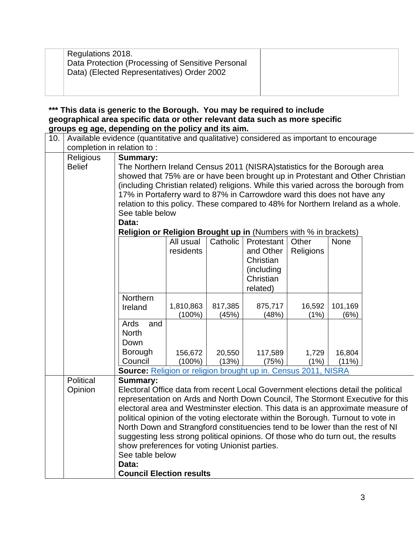| Regulations 2018.<br>Data Protection (Processing of Sensitive Personal<br>Data) (Elected Representatives) Order 2002 |  |
|----------------------------------------------------------------------------------------------------------------------|--|
|                                                                                                                      |  |

**\*\*\* This data is generic to the Borough. You may be required to include geographical area specific data or other relevant data such as more specific groups eg age, depending on the policy and its aim.**

|     |                            | $\sim$ g ago, acponantg on the policy and no anni                                      |           |          |            |           |          |                                                                                 |
|-----|----------------------------|----------------------------------------------------------------------------------------|-----------|----------|------------|-----------|----------|---------------------------------------------------------------------------------|
| 10. | completion in relation to: | Available evidence (quantitative and qualitative) considered as important to encourage |           |          |            |           |          |                                                                                 |
|     |                            |                                                                                        |           |          |            |           |          |                                                                                 |
|     | Religious                  | <b>Summary:</b>                                                                        |           |          |            |           |          |                                                                                 |
|     | <b>Belief</b>              | The Northern Ireland Census 2011 (NISRA) statistics for the Borough area               |           |          |            |           |          |                                                                                 |
|     |                            | showed that 75% are or have been brought up in Protestant and Other Christian          |           |          |            |           |          |                                                                                 |
|     |                            | (including Christian related) religions. While this varied across the borough from     |           |          |            |           |          |                                                                                 |
|     |                            | 17% in Portaferry ward to 87% in Carrowdore ward this does not have any                |           |          |            |           |          |                                                                                 |
|     |                            | relation to this policy. These compared to 48% for Northern Ireland as a whole.        |           |          |            |           |          |                                                                                 |
|     |                            | See table below                                                                        |           |          |            |           |          |                                                                                 |
|     |                            | Data:                                                                                  |           |          |            |           |          |                                                                                 |
|     |                            | Religion or Religion Brought up in (Numbers with % in brackets)                        |           |          |            |           |          |                                                                                 |
|     |                            |                                                                                        | All usual | Catholic | Protestant | Other     | None     |                                                                                 |
|     |                            |                                                                                        | residents |          | and Other  | Religions |          |                                                                                 |
|     |                            |                                                                                        |           |          | Christian  |           |          |                                                                                 |
|     |                            |                                                                                        |           |          | (including |           |          |                                                                                 |
|     |                            |                                                                                        |           |          | Christian  |           |          |                                                                                 |
|     |                            |                                                                                        |           |          | related)   |           |          |                                                                                 |
|     |                            | Northern                                                                               |           |          |            |           |          |                                                                                 |
|     |                            | Ireland                                                                                | 1,810,863 | 817,385  | 875,717    | 16,592    | 101,169  |                                                                                 |
|     |                            |                                                                                        | $(100\%)$ | (45%)    | (48%)      | (1%)      | (6%)     |                                                                                 |
|     |                            | Ards<br>and                                                                            |           |          |            |           |          |                                                                                 |
|     |                            | <b>North</b>                                                                           |           |          |            |           |          |                                                                                 |
|     |                            | Down                                                                                   |           |          |            |           |          |                                                                                 |
|     |                            | Borough                                                                                | 156,672   | 20,550   | 117,589    | 1,729     | 16,804   |                                                                                 |
|     |                            | Council                                                                                | $(100\%)$ | (13%)    | (75%)      | (1%)      | $(11\%)$ |                                                                                 |
|     |                            | Source: Religion or religion brought up in. Census 2011, NISRA                         |           |          |            |           |          |                                                                                 |
|     | Political                  | <b>Summary:</b>                                                                        |           |          |            |           |          |                                                                                 |
|     | Opinion                    | Electoral Office data from recent Local Government elections detail the political      |           |          |            |           |          |                                                                                 |
|     |                            |                                                                                        |           |          |            |           |          | representation on Ards and North Down Council, The Stormont Executive for this  |
|     |                            |                                                                                        |           |          |            |           |          | electoral area and Westminster election. This data is an approximate measure of |
|     |                            | political opinion of the voting electorate within the Borough. Turnout to vote in      |           |          |            |           |          |                                                                                 |
|     |                            | North Down and Strangford constituencies tend to be lower than the rest of NI          |           |          |            |           |          |                                                                                 |
|     |                            | suggesting less strong political opinions. Of those who do turn out, the results       |           |          |            |           |          |                                                                                 |
|     |                            | show preferences for voting Unionist parties.                                          |           |          |            |           |          |                                                                                 |
|     |                            | See table below                                                                        |           |          |            |           |          |                                                                                 |
|     |                            | Data:                                                                                  |           |          |            |           |          |                                                                                 |
|     |                            | <b>Council Election results</b>                                                        |           |          |            |           |          |                                                                                 |
|     |                            |                                                                                        |           |          |            |           |          |                                                                                 |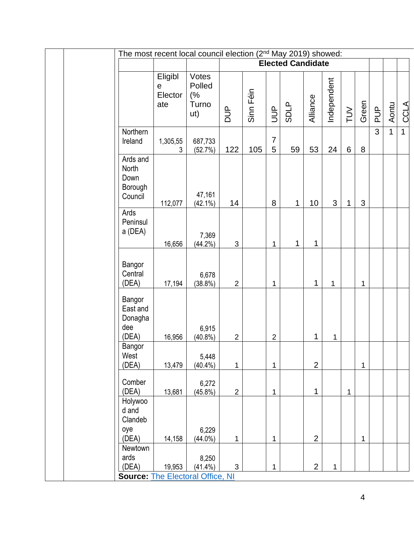| The most recent local council election (2 <sup>nd</sup> May 2019) showed: |                                           |                                       |                |           |                     |                          |                |             |              |              |                |              |              |
|---------------------------------------------------------------------------|-------------------------------------------|---------------------------------------|----------------|-----------|---------------------|--------------------------|----------------|-------------|--------------|--------------|----------------|--------------|--------------|
|                                                                           |                                           |                                       |                |           |                     | <b>Elected Candidate</b> |                |             |              |              |                |              |              |
|                                                                           | Eligibl<br>$\mathsf{e}$<br>Elector<br>ate | Votes<br>Polled<br>(%<br>Turno<br>ut) | <b>AUD</b>     | Sinn Féin | $\exists$           | <b>SDLP</b>              | Alliance       | Independent | $\geq$       | Green        | <b>AUP</b>     | Aontu        | <b>CCLA</b>  |
| Northern<br>Ireland                                                       | 1,305,55<br>3                             | 687,733<br>(52.7%)                    | 122            | 105       | $\overline{7}$<br>5 | 59                       | 53             | 24          | $6\,$        | 8            | $\overline{3}$ | $\mathbf{1}$ | $\mathbf{1}$ |
| Ards and<br>North<br>Down<br>Borough<br>Council                           | 112,077                                   | 47,161<br>$(42.1\%)$                  | 14             |           | 8                   | $\mathbf{1}$             | 10             | 3           | 1            | 3            |                |              |              |
| Ards<br>Peninsul<br>a (DEA)                                               | 16,656                                    | 7,369<br>$(44.2\%)$                   | 3              |           | $\mathbf 1$         | $\mathbf{1}$             | 1              |             |              |              |                |              |              |
| Bangor<br>Central<br>(DEA)                                                | 17,194                                    | 6,678<br>$(38.8\%)$                   | $\overline{2}$ |           | 1                   |                          | 1              | 1           |              | 1            |                |              |              |
| Bangor<br>East and<br>Donagha<br>dee<br>(DEA)                             | 16,956                                    | 6,915<br>$(40.8\%)$                   | $\overline{2}$ |           | $\overline{2}$      |                          | 1              | 1           |              |              |                |              |              |
| Bangor<br>West<br>(DEA)                                                   | 13,479                                    | 5,448<br>$(40.4\%)$                   | $\mathbf{1}$   |           | $\mathbf 1$         |                          | $\overline{2}$ |             |              | $\mathbf{1}$ |                |              |              |
| Comber<br>(DEA)                                                           | 13,681                                    | 6,272<br>$(45.8\%)$                   | $\overline{2}$ |           | 1                   |                          | 1              |             | $\mathbf{1}$ |              |                |              |              |
| Holywoo<br>d and<br>Clandeb<br>oye<br>(DEA)                               | 14,158                                    | 6,229<br>$(44.0\%)$                   | 1              |           | 1                   |                          | $\overline{2}$ |             |              | $\mathbf 1$  |                |              |              |
| Newtown<br>ards<br>(DEA)<br><b>Source: The Electoral Office, NI</b>       | 19,953                                    | 8,250<br>$(41.4\%)$                   | $\mathfrak{S}$ |           | 1                   |                          | $\overline{2}$ | 1           |              |              |                |              |              |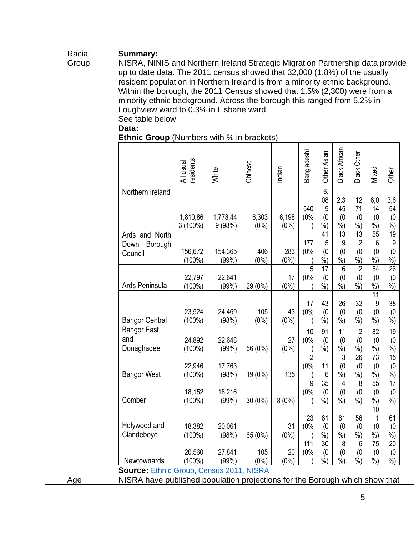| Racial<br>Group | <b>Summary:</b><br>NISRA, NINIS and Northern Ireland Strategic Migration Partnership data provide                                                                                                                                                                                                                                                            |                        |                    |                  |                  |                            |                               |                                      |                                                           |                                   |                                 |
|-----------------|--------------------------------------------------------------------------------------------------------------------------------------------------------------------------------------------------------------------------------------------------------------------------------------------------------------------------------------------------------------|------------------------|--------------------|------------------|------------------|----------------------------|-------------------------------|--------------------------------------|-----------------------------------------------------------|-----------------------------------|---------------------------------|
|                 | up to date data. The 2011 census showed that 32,000 (1.8%) of the usually<br>resident population in Northern Ireland is from a minority ethnic background.<br>Within the borough, the 2011 Census showed that 1.5% (2,300) were from a<br>minority ethnic background. Across the borough this ranged from 5.2% in<br>Loughview ward to 0.3% in Lisbane ward. |                        |                    |                  |                  |                            |                               |                                      |                                                           |                                   |                                 |
|                 | See table below                                                                                                                                                                                                                                                                                                                                              |                        |                    |                  |                  |                            |                               |                                      |                                                           |                                   |                                 |
|                 | Data:<br><b>Ethnic Group</b> (Numbers with % in brackets)                                                                                                                                                                                                                                                                                                    |                        |                    |                  |                  |                            |                               |                                      |                                                           |                                   |                                 |
|                 |                                                                                                                                                                                                                                                                                                                                                              | All usual<br>residents | White              | Chinese          | Indian           | Bangladeshi                | Other Asian                   | <b>Black African</b>                 | Black Other                                               | Mixed                             | Other                           |
|                 | Northern Ireland                                                                                                                                                                                                                                                                                                                                             | 1,810,86<br>$3(100\%)$ | 1,778,44<br>9(98%) | 6,303<br>$(0\%)$ | 6,198<br>$(0\%)$ | 540<br>(0%                 | 6,<br>08<br>9<br>(0)<br>$%$ ) | 2,3<br>45<br>(0)<br>$%$ )            | 12<br>71<br>(0)<br>$\frac{0}{0}$                          | 6,0<br>14<br>(0)<br>%             | 3,6<br>54<br>(0)<br>%           |
|                 | Ards and North<br>Down Borough<br>Council                                                                                                                                                                                                                                                                                                                    | 156,672<br>(100%)      | 154,365<br>(99%)   | 406<br>$(0\%)$   | 283<br>$(0\%)$   | 177<br>(0%                 | 41<br>5<br>(0)<br>$%$ )       | $\overline{13}$<br>9<br>(0)<br>$%$ ) | $\overline{13}$<br>$\overline{2}$<br>(0)<br>$\frac{0}{0}$ | 55<br>6<br>(0)<br>$\frac{0}{0}$   | 19<br>9<br>(0)<br>%             |
|                 | Ards Peninsula                                                                                                                                                                                                                                                                                                                                               | 22,797<br>$(100\%)$    | 22,641<br>(99%)    | 29 (0%)          | 17<br>$(0\%)$    | 5<br>(0%                   | 17<br>(0)<br>$\frac{0}{0}$    | 6<br>(0)<br>$\overline{\frac{9}{6}}$ | $\overline{2}$<br>(0)<br>$\dot{\%}$                       | 54<br>(0)<br>$\frac{9}{6}$        | $\overline{26}$<br>(0)<br>$%$ ) |
|                 | <b>Bangor Central</b>                                                                                                                                                                                                                                                                                                                                        | 23,524<br>$(100\%)$    | 24,469<br>(98%)    | 105<br>$(0\%)$   | 43<br>$(0\%)$    | 17<br>(0%                  | 43<br>(0)<br>$%$ )            | 26<br>(0)<br>$\dot{\%})$             | 32<br>(0)<br>$\dot{\%})$                                  | 11<br>9<br>(0)<br>$\dot{\%}$      | 38<br>(0)<br>$%$ )              |
|                 | <b>Bangor East</b><br>and<br>Donaghadee                                                                                                                                                                                                                                                                                                                      | 24,892<br>$(100\%)$    | 22,648<br>(99%)    | 56 (0%)          | 27<br>$(0\%)$    | 10<br>(0%                  | 91<br>(0)<br>$\frac{0}{0}$    | 11<br>(0)<br>$\frac{0}{0}$           | $\sqrt{2}$<br>(0)<br>$\%$                                 | 82<br>(0)<br>$\frac{9}{0}$        | 19<br>(0)<br>$\frac{0}{0}$      |
|                 | <b>Bangor West</b>                                                                                                                                                                                                                                                                                                                                           | 22,946<br>$(100\%)$    | 17,763<br>(98%)    | 19 (0%)          | 135              | $\overline{2}$<br>(0%<br>9 | 11<br>6<br>35                 | 3<br>(0)<br>$\frac{6}{6}$<br>4       | 26<br>(0)<br>$\sqrt[6]{\cdot}$<br>8                       | 73<br>(0)<br>%<br>$\overline{55}$ | 15<br>(0)<br>$%$ )<br>17        |
|                 | Comber                                                                                                                                                                                                                                                                                                                                                       | 18,152<br>$(100\%)$    | 18,216<br>(99%)    | 30 (0%)          | 8(0%)            | (0%                        | (0)<br>$%$ )                  | (0)<br>$\overline{\frac{9}{6}})$     | (0)<br>$%$ )                                              | (0)<br>%<br>10                    | (0)<br>$%$ )                    |
|                 | Holywood and<br>Clandeboye                                                                                                                                                                                                                                                                                                                                   | 18,382<br>$(100\%)$    | 20,061<br>(98%)    | 65 (0%)          | 31<br>$(0\%)$    | 23<br>(0%                  | 81<br>(0)<br>$%$ )            | 81<br>(0)<br>$%$ )                   | 56<br>(0)<br>$%$ )                                        | (0)<br>%                          | 61<br>(0)<br>$%$ )              |
|                 | Newtownards                                                                                                                                                                                                                                                                                                                                                  | 20,560<br>$(100\%)$    | 27,841<br>(99%)    | 105<br>$(0\%)$   | 20<br>$(0\%)$    | 111<br>(0%                 | 30<br>(0)<br>%                | 8<br>(0)<br>$%$ )                    | 6<br>(0)<br>$%$ )                                         | 75<br>(0)<br>%                    | 20<br>(0)<br>$%$ )              |
| Age             | <b>Source: Ethnic Group, Census 2011, NISRA</b><br>NISRA have published population projections for the Borough which show that                                                                                                                                                                                                                               |                        |                    |                  |                  |                            |                               |                                      |                                                           |                                   |                                 |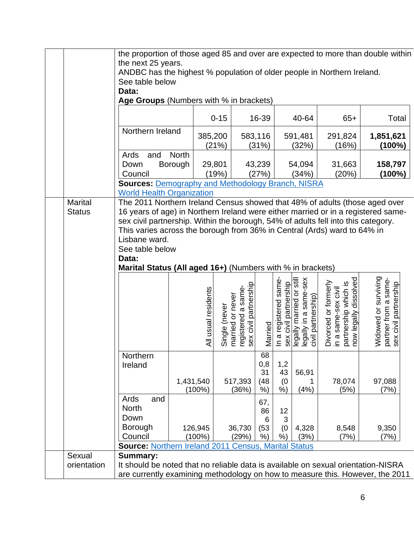|                                 | the proportion of those aged 85 and over are expected to more than double within<br>the next 25 years.<br>ANDBC has the highest % population of older people in Northern Ireland.<br>See table below<br>Data:<br>Age Groups (Numbers with % in brackets)                                                                                                                                                                                     |                         |                                      |                                                                 |                                  |                                               |                                                                                          |                                                                                                 |                                                                       |
|---------------------------------|----------------------------------------------------------------------------------------------------------------------------------------------------------------------------------------------------------------------------------------------------------------------------------------------------------------------------------------------------------------------------------------------------------------------------------------------|-------------------------|--------------------------------------|-----------------------------------------------------------------|----------------------------------|-----------------------------------------------|------------------------------------------------------------------------------------------|-------------------------------------------------------------------------------------------------|-----------------------------------------------------------------------|
|                                 |                                                                                                                                                                                                                                                                                                                                                                                                                                              |                         | $0 - 15$                             |                                                                 | 16-39                            |                                               | 40-64                                                                                    | $65+$                                                                                           | Total                                                                 |
|                                 | Northern Ireland                                                                                                                                                                                                                                                                                                                                                                                                                             |                         | 385,200<br>(21%)                     |                                                                 | 583,116<br>(31%)                 |                                               | 591,481<br>(32%)                                                                         | 291,824<br>(16%)                                                                                | 1,851,621<br>(100%)                                                   |
|                                 | Ards<br>and<br>Down<br>Council                                                                                                                                                                                                                                                                                                                                                                                                               | <b>North</b><br>Borough | 29,801<br>(19%)                      |                                                                 | 43,239<br>(27%)                  |                                               | 54,094<br>(34%)                                                                          | 31,663<br>(20%)                                                                                 | 158,797<br>$(100\%)$                                                  |
|                                 | <b>Sources: Demography and Methodology Branch, NISRA</b><br><b>World Health Organization</b>                                                                                                                                                                                                                                                                                                                                                 |                         |                                      |                                                                 |                                  |                                               |                                                                                          |                                                                                                 |                                                                       |
| <b>Marital</b><br><b>Status</b> | The 2011 Northern Ireland Census showed that 48% of adults (those aged over<br>16 years of age) in Northern Ireland were either married or in a registered same-<br>sex civil partnership. Within the borough, 54% of adults fell into this category.<br>This varies across the borough from 36% in Central (Ards) ward to 64% in<br>Lisbane ward.<br>See table below<br>Data:<br>Marital Status (All aged 16+) (Numbers with % in brackets) |                         |                                      |                                                                 |                                  |                                               |                                                                                          |                                                                                                 |                                                                       |
|                                 |                                                                                                                                                                                                                                                                                                                                                                                                                                              |                         | All usual residents<br>Single (never | sex civil partnership<br>registered a same-<br>married or never | Married                          | In a registered same<br>sex civil partnership | sex<br>legally married or still<br>same-<br>civil partnership)<br>$\varpi$<br>legally in | dissolved<br>Divorced or formerly<br>partnership which is<br>in a same-sex civil<br>now legally | Widowed or surviving<br>partner from a same-<br>sex civil partnership |
|                                 | Northern<br>Ireland                                                                                                                                                                                                                                                                                                                                                                                                                          | 1,431,540<br>$(100\%)$  |                                      | 517,393<br>(36%)                                                | 68<br>0,8<br>31<br>(48)<br>$%$ ) | 1,2<br>43<br>(0)<br>$%$ )                     | 56,91<br>1<br>(4% )                                                                      | 78,074<br>(5%)                                                                                  | 97,088<br>(7%)                                                        |
|                                 | Ards<br>and<br><b>North</b><br>Down<br><b>Borough</b><br>Council<br><b>Source: Northern Ireland 2011 Census, Marital Status</b>                                                                                                                                                                                                                                                                                                              | 126,945<br>$(100\%)$    |                                      | 36,730<br>(29%)                                                 | 67,<br>86<br>6<br>(53)<br>%      | 12<br>3<br>(0)<br>$%$ )                       | 4,328<br>(3%)                                                                            | 8,548<br>(7%)                                                                                   | 9,350<br>(7%)                                                         |
| Sexual<br>orientation           | <b>Summary:</b><br>It should be noted that no reliable data is available on sexual orientation-NISRA<br>are currently examining methodology on how to measure this. However, the 2011                                                                                                                                                                                                                                                        |                         |                                      |                                                                 |                                  |                                               |                                                                                          |                                                                                                 |                                                                       |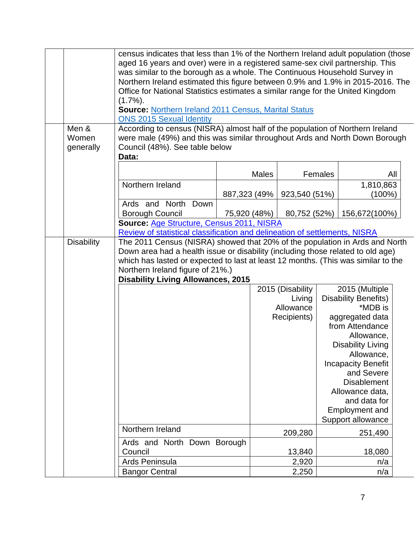|                   | census indicates that less than 1% of the Northern Ireland adult population (those |              |              |                  |         |                                         |  |
|-------------------|------------------------------------------------------------------------------------|--------------|--------------|------------------|---------|-----------------------------------------|--|
|                   | aged 16 years and over) were in a registered same-sex civil partnership. This      |              |              |                  |         |                                         |  |
|                   | was similar to the borough as a whole. The Continuous Household Survey in          |              |              |                  |         |                                         |  |
|                   | Northern Ireland estimated this figure between 0.9% and 1.9% in 2015-2016. The     |              |              |                  |         |                                         |  |
|                   | Office for National Statistics estimates a similar range for the United Kingdom    |              |              |                  |         |                                         |  |
|                   | $(1.7\%)$ .                                                                        |              |              |                  |         |                                         |  |
|                   | <b>Source: Northern Ireland 2011 Census, Marital Status</b>                        |              |              |                  |         |                                         |  |
|                   | <b>ONS 2015 Sexual Identity</b>                                                    |              |              |                  |         |                                         |  |
| Men &             | According to census (NISRA) almost half of the population of Northern Ireland      |              |              |                  |         |                                         |  |
| Women             | were male (49%) and this was similar throughout Ards and North Down Borough        |              |              |                  |         |                                         |  |
| generally         | Council (48%). See table below                                                     |              |              |                  |         |                                         |  |
|                   | Data:                                                                              |              |              |                  |         |                                         |  |
|                   |                                                                                    |              |              |                  |         |                                         |  |
|                   |                                                                                    |              | <b>Males</b> |                  | Females | All                                     |  |
|                   | Northern Ireland                                                                   |              |              |                  |         | 1,810,863                               |  |
|                   |                                                                                    | 887,323 (49% |              | 923,540 (51%)    |         | (100%)                                  |  |
|                   | Ards and North Down                                                                |              |              |                  |         |                                         |  |
|                   | <b>Borough Council</b>                                                             | 75,920 (48%) |              | 80,752 (52%)     |         | 156,672(100%)                           |  |
|                   | Source: Age Structure, Census 2011, NISRA                                          |              |              |                  |         |                                         |  |
|                   | Review of statistical classification and delineation of settlements, NISRA         |              |              |                  |         |                                         |  |
| <b>Disability</b> | The 2011 Census (NISRA) showed that 20% of the population in Ards and North        |              |              |                  |         |                                         |  |
|                   | Down area had a health issue or disability (including those related to old age)    |              |              |                  |         |                                         |  |
|                   | which has lasted or expected to last at least 12 months. (This was similar to the  |              |              |                  |         |                                         |  |
|                   | Northern Ireland figure of 21%.)                                                   |              |              |                  |         |                                         |  |
|                   | <b>Disability Living Allowances, 2015</b>                                          |              |              |                  |         |                                         |  |
|                   |                                                                                    |              |              | 2015 (Disability |         | 2015 (Multiple                          |  |
|                   |                                                                                    |              |              | Living           |         | <b>Disability Benefits)</b>             |  |
|                   |                                                                                    |              |              | Allowance        |         | *MDB is                                 |  |
|                   |                                                                                    |              |              | Recipients)      |         | aggregated data                         |  |
|                   |                                                                                    |              |              |                  |         | from Attendance                         |  |
|                   |                                                                                    |              |              |                  |         | Allowance,                              |  |
|                   |                                                                                    |              |              |                  |         | <b>Disability Living</b>                |  |
|                   |                                                                                    |              |              |                  |         | Allowance,                              |  |
|                   |                                                                                    |              |              |                  |         | <b>Incapacity Benefit</b><br>and Severe |  |
|                   |                                                                                    |              |              |                  |         | <b>Disablement</b>                      |  |
|                   |                                                                                    |              |              |                  |         |                                         |  |
|                   |                                                                                    |              |              |                  |         | Allowance data,<br>and data for         |  |
|                   |                                                                                    |              |              |                  |         |                                         |  |
|                   |                                                                                    |              |              |                  |         | Employment and                          |  |
|                   |                                                                                    |              |              |                  |         | Support allowance                       |  |
|                   | Northern Ireland                                                                   |              |              | 209,280          |         | 251,490                                 |  |
|                   | Ards and North Down Borough                                                        |              |              |                  |         |                                         |  |
|                   | Council                                                                            |              |              | 13,840           |         | 18,080                                  |  |
|                   | Ards Peninsula                                                                     |              |              | 2,920            |         | n/a                                     |  |
|                   | <b>Bangor Central</b>                                                              |              |              | 2,250            |         | n/a                                     |  |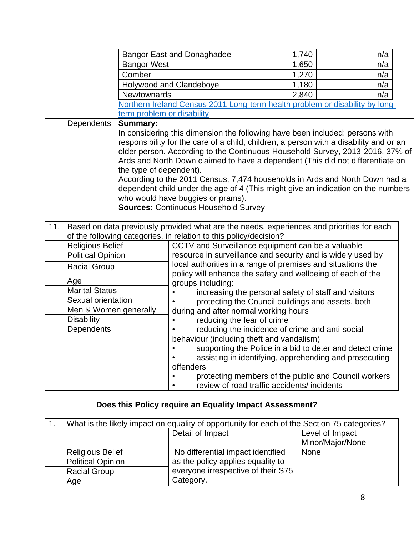|            | <b>Bangor East and Donaghadee</b>                                                      | 1,740 | n/a |  |  |  |
|------------|----------------------------------------------------------------------------------------|-------|-----|--|--|--|
|            | <b>Bangor West</b>                                                                     | 1,650 | n/a |  |  |  |
|            | Comber                                                                                 | 1,270 | n/a |  |  |  |
|            | <b>Holywood and Clandeboye</b>                                                         | 1,180 | n/a |  |  |  |
|            | <b>Newtownards</b>                                                                     | 2,840 | n/a |  |  |  |
|            | Northern Ireland Census 2011 Long-term health problem or disability by long-           |       |     |  |  |  |
|            | term problem or disability                                                             |       |     |  |  |  |
| Dependents | <b>Summary:</b>                                                                        |       |     |  |  |  |
|            | In considering this dimension the following have been included: persons with           |       |     |  |  |  |
|            | responsibility for the care of a child, children, a person with a disability and or an |       |     |  |  |  |
|            | older person. According to the Continuous Household Survey, 2013-2016, 37% of          |       |     |  |  |  |
|            | Ards and North Down claimed to have a dependent (This did not differentiate on         |       |     |  |  |  |
|            | the type of dependent).                                                                |       |     |  |  |  |
|            | According to the 2011 Census, 7,474 households in Ards and North Down had a            |       |     |  |  |  |
|            | dependent child under the age of 4 (This might give an indication on the numbers       |       |     |  |  |  |
|            | who would have buggies or prams).                                                      |       |     |  |  |  |
|            | <b>Sources: Continuous Household Survey</b>                                            |       |     |  |  |  |

| 11. |                          | Based on data previously provided what are the needs, experiences and priorities for each                                  |
|-----|--------------------------|----------------------------------------------------------------------------------------------------------------------------|
|     |                          | of the following categories, in relation to this policy/decision?                                                          |
|     | <b>Religious Belief</b>  | CCTV and Surveillance equipment can be a valuable                                                                          |
|     | <b>Political Opinion</b> | resource in surveillance and security and is widely used by                                                                |
|     | <b>Racial Group</b>      | local authorities in a range of premises and situations the<br>policy will enhance the safety and wellbeing of each of the |
|     | Age                      | groups including:                                                                                                          |
|     | <b>Marital Status</b>    | increasing the personal safety of staff and visitors                                                                       |
|     | Sexual orientation       | protecting the Council buildings and assets, both                                                                          |
|     | Men & Women generally    | during and after normal working hours                                                                                      |
|     | <b>Disability</b>        | reducing the fear of crime                                                                                                 |
|     | Dependents               | reducing the incidence of crime and anti-social                                                                            |
|     |                          | behaviour (including theft and vandalism)                                                                                  |
|     |                          | supporting the Police in a bid to deter and detect crime                                                                   |
|     |                          | assisting in identifying, apprehending and prosecuting                                                                     |
|     |                          | offenders                                                                                                                  |
|     |                          | protecting members of the public and Council workers                                                                       |
|     |                          | review of road traffic accidents/incidents                                                                                 |

## **Does this Policy require an Equality Impact Assessment?**

|                          | What is the likely impact on equality of opportunity for each of the Section 75 categories? |                  |  |  |  |  |
|--------------------------|---------------------------------------------------------------------------------------------|------------------|--|--|--|--|
|                          | Detail of Impact                                                                            | Level of Impact  |  |  |  |  |
|                          |                                                                                             | Minor/Major/None |  |  |  |  |
| <b>Religious Belief</b>  | No differential impact identified                                                           | None             |  |  |  |  |
| <b>Political Opinion</b> | as the policy applies equality to                                                           |                  |  |  |  |  |
| <b>Racial Group</b>      | everyone irrespective of their S75                                                          |                  |  |  |  |  |
| Age                      | Category.                                                                                   |                  |  |  |  |  |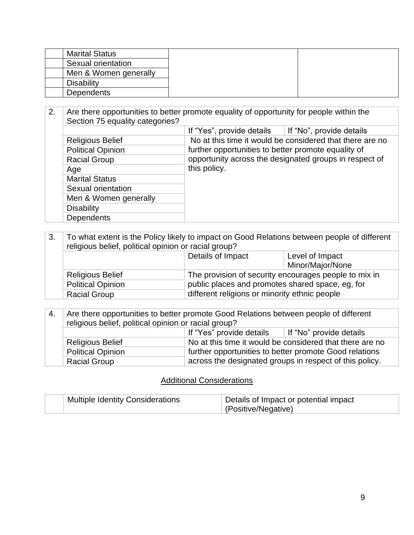| <b>Marital Status</b> |  |
|-----------------------|--|
| Sexual orientation    |  |
| Men & Women generally |  |
| Disability            |  |
| <b>Dependents</b>     |  |

| 2. | Are there opportunities to better promote equality of opportunity for people within the<br>Section 75 equality categories? |                                                          |  |
|----|----------------------------------------------------------------------------------------------------------------------------|----------------------------------------------------------|--|
|    |                                                                                                                            | If "Yes", provide details<br>If "No", provide details    |  |
|    | <b>Religious Belief</b>                                                                                                    | No at this time it would be considered that there are no |  |
|    | <b>Political Opinion</b>                                                                                                   | further opportunities to better promote equality of      |  |
|    | <b>Racial Group</b>                                                                                                        | opportunity across the designated groups in respect of   |  |
|    | Age                                                                                                                        | this policy.                                             |  |
|    | <b>Marital Status</b>                                                                                                      |                                                          |  |
|    | Sexual orientation                                                                                                         |                                                          |  |
|    | Men & Women generally                                                                                                      |                                                          |  |
|    | <b>Disability</b>                                                                                                          |                                                          |  |
|    | <b>Dependents</b>                                                                                                          |                                                          |  |

| 3. | To what extent is the Policy likely to impact on Good Relations between people of different<br>religious belief, political opinion or racial group? |                                                  |                                                       |
|----|-----------------------------------------------------------------------------------------------------------------------------------------------------|--------------------------------------------------|-------------------------------------------------------|
|    |                                                                                                                                                     | Details of Impact                                | Level of Impact                                       |
|    |                                                                                                                                                     |                                                  | Minor/Major/None                                      |
|    | <b>Religious Belief</b>                                                                                                                             |                                                  | The provision of security encourages people to mix in |
|    | <b>Political Opinion</b>                                                                                                                            | public places and promotes shared space, eg, for |                                                       |
|    | <b>Racial Group</b>                                                                                                                                 | different religions or minority ethnic people    |                                                       |

| -4. | Are there opportunities to better promote Good Relations between people of different |                          |                                                          |
|-----|--------------------------------------------------------------------------------------|--------------------------|----------------------------------------------------------|
|     | religious belief, political opinion or racial group?                                 |                          |                                                          |
|     |                                                                                      | If "Yes" provide details | If "No" provide details                                  |
|     | <b>Religious Belief</b>                                                              |                          | No at this time it would be considered that there are no |
|     | <b>Political Opinion</b>                                                             |                          | further opportunities to better promote Good relations   |
|     | <b>Racial Group</b>                                                                  |                          | across the designated groups in respect of this policy.  |

## Additional Considerations

| <b>Multiple Identity Considerations</b> | Details of Impact or potential impact |
|-----------------------------------------|---------------------------------------|
|                                         | (Positive/Negative)                   |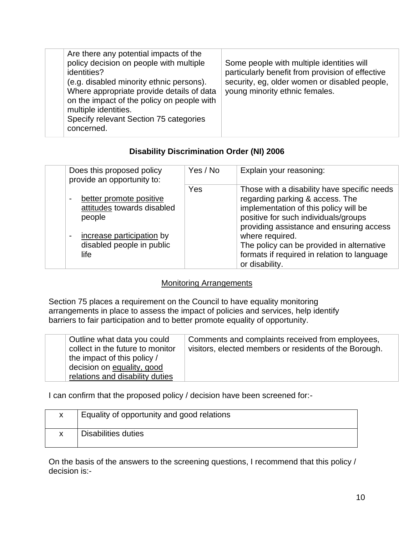| Are there any potential impacts of the<br>policy decision on people with multiple<br>identities?<br>(e.g. disabled minority ethnic persons).<br>Where appropriate provide details of data<br>on the impact of the policy on people with<br>multiple identities.<br>Specify relevant Section 75 categories<br>concerned. | Some people with multiple identities will<br>particularly benefit from provision of effective<br>security, eg, older women or disabled people,<br>young minority ethnic females. |
|-------------------------------------------------------------------------------------------------------------------------------------------------------------------------------------------------------------------------------------------------------------------------------------------------------------------------|----------------------------------------------------------------------------------------------------------------------------------------------------------------------------------|
|-------------------------------------------------------------------------------------------------------------------------------------------------------------------------------------------------------------------------------------------------------------------------------------------------------------------------|----------------------------------------------------------------------------------------------------------------------------------------------------------------------------------|

### **Disability Discrimination Order (NI) 2006**

| Does this proposed policy<br>provide an opportunity to:                                                                           | Yes / No | Explain your reasoning:                                                                                                                                                                                                                                                                                                                      |
|-----------------------------------------------------------------------------------------------------------------------------------|----------|----------------------------------------------------------------------------------------------------------------------------------------------------------------------------------------------------------------------------------------------------------------------------------------------------------------------------------------------|
| better promote positive<br>attitudes towards disabled<br>people<br>increase participation by<br>disabled people in public<br>life | Yes      | Those with a disability have specific needs<br>regarding parking & access. The<br>implementation of this policy will be<br>positive for such individuals/groups<br>providing assistance and ensuring access<br>where required.<br>The policy can be provided in alternative<br>formats if required in relation to language<br>or disability. |

### **Monitoring Arrangements**

Section 75 places a requirement on the Council to have equality monitoring arrangements in place to assess the impact of policies and services, help identify barriers to fair participation and to better promote equality of opportunity.

| Outline what data you could<br>collect in the future to monitor<br>the impact of this policy /<br>decision on equality, good<br>relations and disability duties | Comments and complaints received from employees,<br>visitors, elected members or residents of the Borough. |
|-----------------------------------------------------------------------------------------------------------------------------------------------------------------|------------------------------------------------------------------------------------------------------------|
|-----------------------------------------------------------------------------------------------------------------------------------------------------------------|------------------------------------------------------------------------------------------------------------|

I can confirm that the proposed policy / decision have been screened for:-

| X | Equality of opportunity and good relations |
|---|--------------------------------------------|
|   | Disabilities duties                        |

On the basis of the answers to the screening questions, I recommend that this policy / decision is:-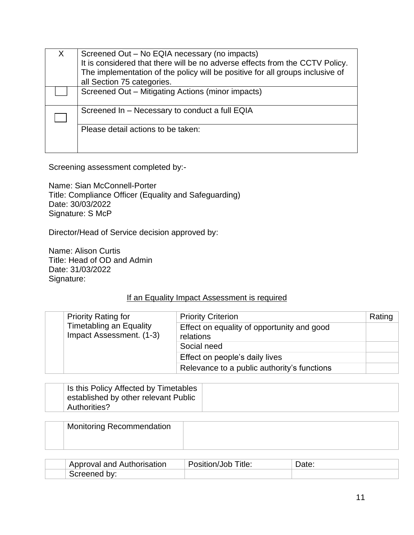| Screened Out – No EQIA necessary (no impacts)<br>It is considered that there will be no adverse effects from the CCTV Policy.<br>The implementation of the policy will be positive for all groups inclusive of<br>all Section 75 categories. |
|----------------------------------------------------------------------------------------------------------------------------------------------------------------------------------------------------------------------------------------------|
| Screened Out - Mitigating Actions (minor impacts)                                                                                                                                                                                            |
| Screened In - Necessary to conduct a full EQIA                                                                                                                                                                                               |
| Please detail actions to be taken:                                                                                                                                                                                                           |

Screening assessment completed by:-

Name: Sian McConnell-Porter Title: Compliance Officer (Equality and Safeguarding) Date: 30/03/2022 Signature: S McP

Director/Head of Service decision approved by:

Name: Alison Curtis Title: Head of OD and Admin Date: 31/03/2022 Signature:

#### If an Equality Impact Assessment is required

| <b>Priority Rating for</b>                                 | <b>Priority Criterion</b>                               | Rating |
|------------------------------------------------------------|---------------------------------------------------------|--------|
| <b>Timetabling an Equality</b><br>Impact Assessment. (1-3) | Effect on equality of opportunity and good<br>relations |        |
|                                                            | Social need                                             |        |
|                                                            | Effect on people's daily lives                          |        |
|                                                            | Relevance to a public authority's functions             |        |

| Is this Policy Affected by Timetables |  |
|---------------------------------------|--|
| established by other relevant Public  |  |
| Authorities?                          |  |

| <b>Monitoring Recommendation</b> |  |
|----------------------------------|--|
|                                  |  |

| Approval and Authorisation | $\tau$ itle:<br><b>John</b><br>osition/Job | Jale. |
|----------------------------|--------------------------------------------|-------|
| bv.<br>Screened            |                                            |       |